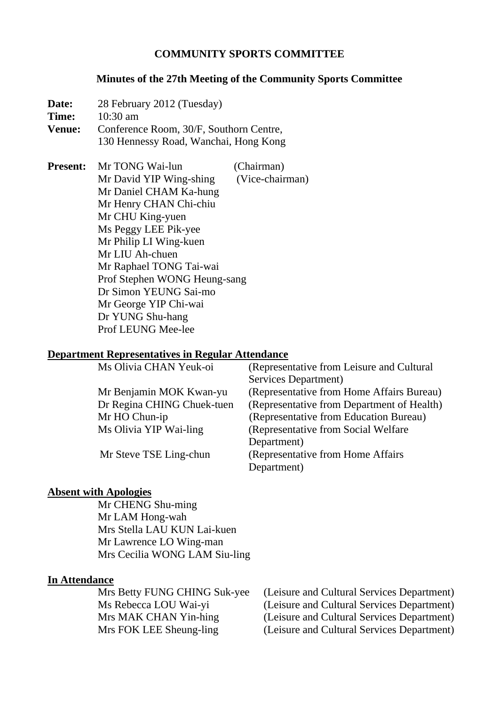### **COMMUNITY SPORTS COMMITTEE**

#### **Minutes of the 27th Meeting of the Community Sports Committee**

**Date:** 28 February 2012 (Tuesday) **Time:** 10:30 am **Venue:** Conference Room, 30/F, Southorn Centre, 130 Hennessy Road, Wanchai, Hong Kong

**Present:** Mr TONG Wai-lun (Chairman) Mr David YIP Wing-shing (Vice-chairman) Mr Daniel CHAM Ka-hung Mr Henry CHAN Chi-chiu Mr CHU King-yuen Ms Peggy LEE Pik-yee Mr Philip LI Wing-kuen Mr LIU Ah-chuen Mr Raphael TONG Tai-wai Prof Stephen WONG Heung-sang Dr Simon YEUNG Sai-mo Mr George YIP Chi-wai Dr YUNG Shu-hang Prof LEUNG Mee-lee

#### **Department Representatives in Regular Attendance**

| Ms Olivia CHAN Yeuk-oi     | (Representative from Leisure and Cultural  |
|----------------------------|--------------------------------------------|
|                            | Services Department)                       |
| Mr Benjamin MOK Kwan-yu    | (Representative from Home Affairs Bureau)  |
| Dr Regina CHING Chuek-tuen | (Representative from Department of Health) |
| Mr HO Chun-ip              | (Representative from Education Bureau)     |
| Ms Olivia YIP Wai-ling     | (Representative from Social Welfare)       |
|                            | Department)                                |
| Mr Steve TSE Ling-chun     | (Representative from Home Affairs)         |
|                            | Department)                                |

#### **Absent with Apologies**

 Mr CHENG Shu-ming Mr LAM Hong-wah Mrs Stella LAU KUN Lai-kuen Mr Lawrence LO Wing-man Mrs Cecilia WONG LAM Siu-ling

### **In Attendance**

 Mrs Betty FUNG CHING Suk-yee (Leisure and Cultural Services Department) Ms Rebecca LOU Wai-yi (Leisure and Cultural Services Department) Mrs MAK CHAN Yin-hing (Leisure and Cultural Services Department) Mrs FOK LEE Sheung-ling (Leisure and Cultural Services Department)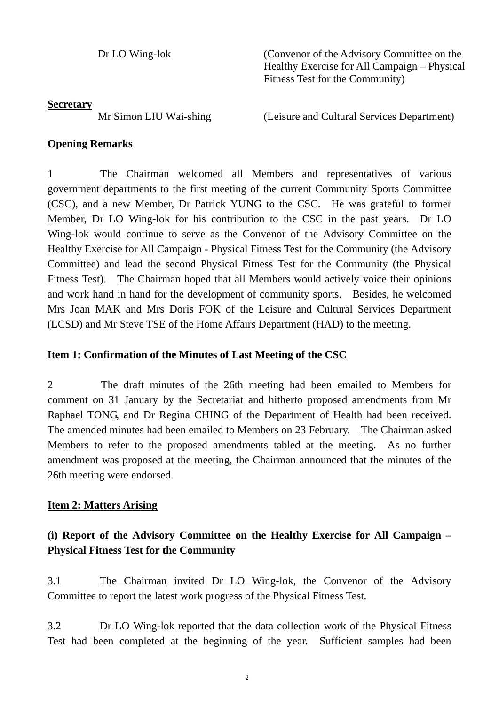Dr LO Wing-lok (Convenor of the Advisory Committee on the Healthy Exercise for All Campaign – Physical Fitness Test for the Community)

### **Secretary**

Mr Simon LIU Wai-shing (Leisure and Cultural Services Department)

### **Opening Remarks**

1 The Chairman welcomed all Members and representatives of various government departments to the first meeting of the current Community Sports Committee (CSC), and a new Member, Dr Patrick YUNG to the CSC. He was grateful to former Member, Dr LO Wing-lok for his contribution to the CSC in the past years. Dr LO Wing-lok would continue to serve as the Convenor of the Advisory Committee on the Healthy Exercise for All Campaign - Physical Fitness Test for the Community (the Advisory Committee) and lead the second Physical Fitness Test for the Community (the Physical Fitness Test). The Chairman hoped that all Members would actively voice their opinions and work hand in hand for the development of community sports. Besides, he welcomed Mrs Joan MAK and Mrs Doris FOK of the Leisure and Cultural Services Department (LCSD) and Mr Steve TSE of the Home Affairs Department (HAD) to the meeting.

## **Item 1: Confirmation of the Minutes of Last Meeting of the CSC**

2 The draft minutes of the 26th meeting had been emailed to Members for comment on 31 January by the Secretariat and hitherto proposed amendments from Mr Raphael TONG, and Dr Regina CHING of the Department of Health had been received. The amended minutes had been emailed to Members on 23 February. The Chairman asked Members to refer to the proposed amendments tabled at the meeting. As no further amendment was proposed at the meeting, the Chairman announced that the minutes of the 26th meeting were endorsed.

## **Item 2: Matters Arising**

# **(i) Report of the Advisory Committee on the Healthy Exercise for All Campaign – Physical Fitness Test for the Community**

3.1 The Chairman invited Dr LO Wing-lok, the Convenor of the Advisory Committee to report the latest work progress of the Physical Fitness Test.

3.2 Dr LO Wing-lok reported that the data collection work of the Physical Fitness Test had been completed at the beginning of the year. Sufficient samples had been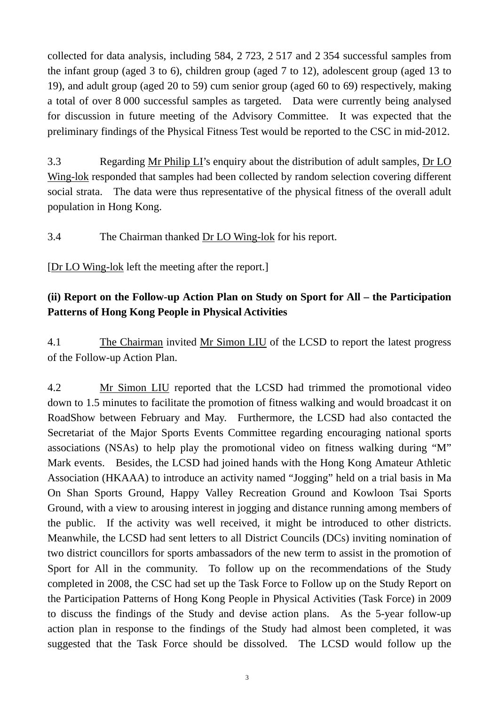collected for data analysis, including 584, 2 723, 2 517 and 2 354 successful samples from the infant group (aged 3 to 6), children group (aged 7 to 12), adolescent group (aged 13 to 19), and adult group (aged 20 to 59) cum senior group (aged 60 to 69) respectively, making a total of over 8 000 successful samples as targeted. Data were currently being analysed for discussion in future meeting of the Advisory Committee. It was expected that the preliminary findings of the Physical Fitness Test would be reported to the CSC in mid-2012.

3.3 Regarding Mr Philip LI's enquiry about the distribution of adult samples, Dr LO Wing-lok responded that samples had been collected by random selection covering different social strata. The data were thus representative of the physical fitness of the overall adult population in Hong Kong.

3.4 The Chairman thanked Dr LO Wing-lok for his report.

[Dr LO Wing-lok left the meeting after the report.]

# **(ii) Report on the Follow-up Action Plan on Study on Sport for All – the Participation Patterns of Hong Kong People in Physical Activities**

4.1 The Chairman invited Mr Simon LIU of the LCSD to report the latest progress of the Follow-up Action Plan.

4.2 Mr Simon LIU reported that the LCSD had trimmed the promotional video down to 1.5 minutes to facilitate the promotion of fitness walking and would broadcast it on RoadShow between February and May. Furthermore, the LCSD had also contacted the Secretariat of the Major Sports Events Committee regarding encouraging national sports associations (NSAs) to help play the promotional video on fitness walking during "M" Mark events. Besides, the LCSD had joined hands with the Hong Kong Amateur Athletic Association (HKAAA) to introduce an activity named "Jogging" held on a trial basis in Ma On Shan Sports Ground, Happy Valley Recreation Ground and Kowloon Tsai Sports Ground, with a view to arousing interest in jogging and distance running among members of the public. If the activity was well received, it might be introduced to other districts. Meanwhile, the LCSD had sent letters to all District Councils (DCs) inviting nomination of two district councillors for sports ambassadors of the new term to assist in the promotion of Sport for All in the community. To follow up on the recommendations of the Study completed in 2008, the CSC had set up the Task Force to Follow up on the Study Report on the Participation Patterns of Hong Kong People in Physical Activities (Task Force) in 2009 to discuss the findings of the Study and devise action plans. As the 5-year follow-up action plan in response to the findings of the Study had almost been completed, it was suggested that the Task Force should be dissolved. The LCSD would follow up the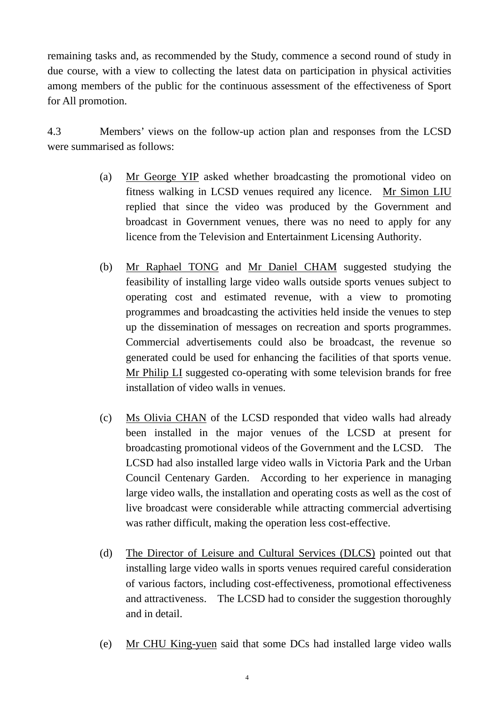remaining tasks and, as recommended by the Study, commence a second round of study in due course, with a view to collecting the latest data on participation in physical activities among members of the public for the continuous assessment of the effectiveness of Sport for All promotion.

4.3 Members' views on the follow-up action plan and responses from the LCSD were summarised as follows:

- (a) Mr George YIP asked whether broadcasting the promotional video on fitness walking in LCSD venues required any licence. Mr Simon LIU replied that since the video was produced by the Government and broadcast in Government venues, there was no need to apply for any licence from the Television and Entertainment Licensing Authority.
- (b) Mr Raphael TONG and Mr Daniel CHAM suggested studying the feasibility of installing large video walls outside sports venues subject to operating cost and estimated revenue, with a view to promoting programmes and broadcasting the activities held inside the venues to step up the dissemination of messages on recreation and sports programmes. Commercial advertisements could also be broadcast, the revenue so generated could be used for enhancing the facilities of that sports venue. Mr Philip LI suggested co-operating with some television brands for free installation of video walls in venues.
- (c) Ms Olivia CHAN of the LCSD responded that video walls had already been installed in the major venues of the LCSD at present for broadcasting promotional videos of the Government and the LCSD. The LCSD had also installed large video walls in Victoria Park and the Urban Council Centenary Garden. According to her experience in managing large video walls, the installation and operating costs as well as the cost of live broadcast were considerable while attracting commercial advertising was rather difficult, making the operation less cost-effective.
- (d) The Director of Leisure and Cultural Services (DLCS) pointed out that installing large video walls in sports venues required careful consideration of various factors, including cost-effectiveness, promotional effectiveness and attractiveness. The LCSD had to consider the suggestion thoroughly and in detail.
- (e) Mr CHU King-yuen said that some DCs had installed large video walls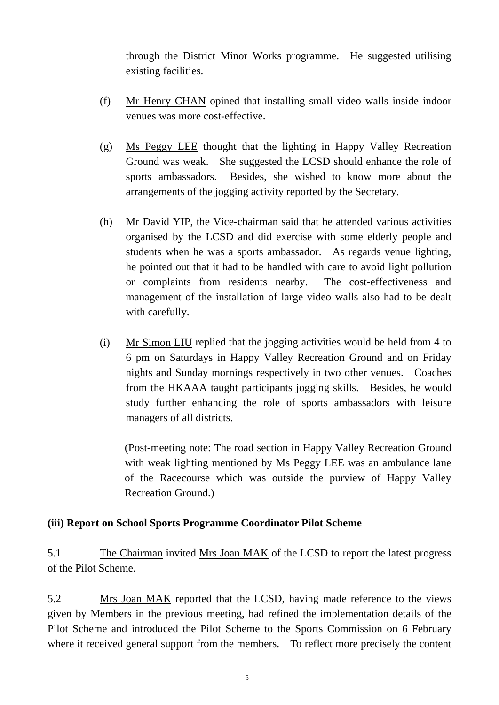through the District Minor Works programme. He suggested utilising existing facilities.

- (f) Mr Henry CHAN opined that installing small video walls inside indoor venues was more cost-effective.
- (g) Ms Peggy LEE thought that the lighting in Happy Valley Recreation Ground was weak. She suggested the LCSD should enhance the role of sports ambassadors. Besides, she wished to know more about the arrangements of the jogging activity reported by the Secretary.
- (h) Mr David YIP, the Vice-chairman said that he attended various activities organised by the LCSD and did exercise with some elderly people and students when he was a sports ambassador. As regards venue lighting, he pointed out that it had to be handled with care to avoid light pollution or complaints from residents nearby. The cost-effectiveness and management of the installation of large video walls also had to be dealt with carefully.
- (i) Mr Simon LIU replied that the jogging activities would be held from 4 to 6 pm on Saturdays in Happy Valley Recreation Ground and on Friday nights and Sunday mornings respectively in two other venues. Coaches from the HKAAA taught participants jogging skills. Besides, he would study further enhancing the role of sports ambassadors with leisure managers of all districts.

(Post-meeting note: The road section in Happy Valley Recreation Ground with weak lighting mentioned by Ms Peggy LEE was an ambulance lane of the Racecourse which was outside the purview of Happy Valley Recreation Ground.)

### **(iii) Report on School Sports Programme Coordinator Pilot Scheme**

5.1 The Chairman invited Mrs Joan MAK of the LCSD to report the latest progress of the Pilot Scheme.

5.2 Mrs Joan MAK reported that the LCSD, having made reference to the views given by Members in the previous meeting, had refined the implementation details of the Pilot Scheme and introduced the Pilot Scheme to the Sports Commission on 6 February where it received general support from the members. To reflect more precisely the content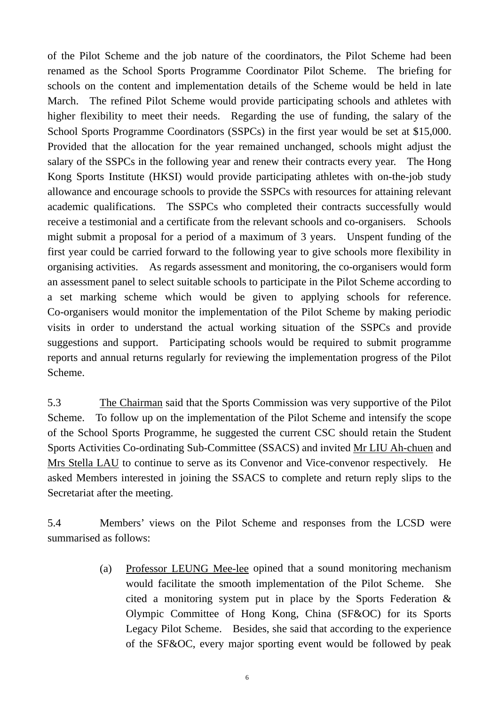of the Pilot Scheme and the job nature of the coordinators, the Pilot Scheme had been renamed as the School Sports Programme Coordinator Pilot Scheme. The briefing for schools on the content and implementation details of the Scheme would be held in late March. The refined Pilot Scheme would provide participating schools and athletes with higher flexibility to meet their needs. Regarding the use of funding, the salary of the School Sports Programme Coordinators (SSPCs) in the first year would be set at \$15,000. Provided that the allocation for the year remained unchanged, schools might adjust the salary of the SSPCs in the following year and renew their contracts every year. The Hong Kong Sports Institute (HKSI) would provide participating athletes with on-the-job study allowance and encourage schools to provide the SSPCs with resources for attaining relevant academic qualifications. The SSPCs who completed their contracts successfully would receive a testimonial and a certificate from the relevant schools and co-organisers. Schools might submit a proposal for a period of a maximum of 3 years. Unspent funding of the first year could be carried forward to the following year to give schools more flexibility in organising activities. As regards assessment and monitoring, the co-organisers would form an assessment panel to select suitable schools to participate in the Pilot Scheme according to a set marking scheme which would be given to applying schools for reference. Co-organisers would monitor the implementation of the Pilot Scheme by making periodic visits in order to understand the actual working situation of the SSPCs and provide suggestions and support. Participating schools would be required to submit programme reports and annual returns regularly for reviewing the implementation progress of the Pilot Scheme.

5.3 The Chairman said that the Sports Commission was very supportive of the Pilot Scheme. To follow up on the implementation of the Pilot Scheme and intensify the scope of the School Sports Programme, he suggested the current CSC should retain the Student Sports Activities Co-ordinating Sub-Committee (SSACS) and invited Mr LIU Ah-chuen and Mrs Stella LAU to continue to serve as its Convenor and Vice-convenor respectively. He asked Members interested in joining the SSACS to complete and return reply slips to the Secretariat after the meeting.

5.4 Members' views on the Pilot Scheme and responses from the LCSD were summarised as follows:

> (a) Professor LEUNG Mee-lee opined that a sound monitoring mechanism would facilitate the smooth implementation of the Pilot Scheme. She cited a monitoring system put in place by the Sports Federation & Olympic Committee of Hong Kong, China (SF&OC) for its Sports Legacy Pilot Scheme. Besides, she said that according to the experience of the SF&OC, every major sporting event would be followed by peak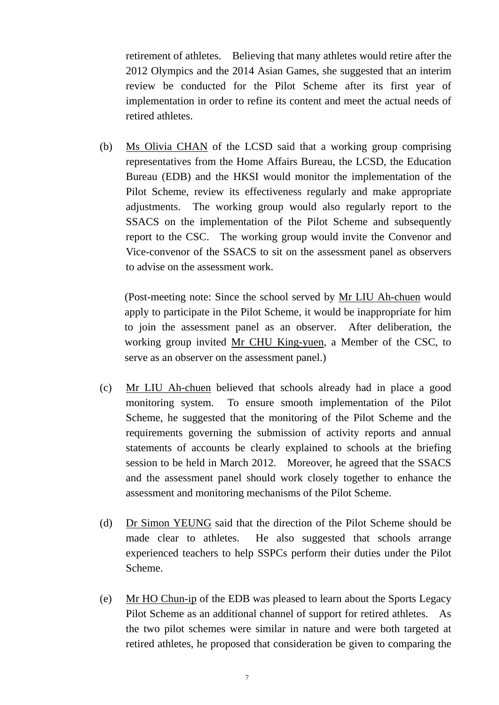retirement of athletes. Believing that many athletes would retire after the 2012 Olympics and the 2014 Asian Games, she suggested that an interim review be conducted for the Pilot Scheme after its first year of implementation in order to refine its content and meet the actual needs of retired athletes.

(b) Ms Olivia CHAN of the LCSD said that a working group comprising representatives from the Home Affairs Bureau, the LCSD, the Education Bureau (EDB) and the HKSI would monitor the implementation of the Pilot Scheme, review its effectiveness regularly and make appropriate adjustments. The working group would also regularly report to the SSACS on the implementation of the Pilot Scheme and subsequently report to the CSC. The working group would invite the Convenor and Vice-convenor of the SSACS to sit on the assessment panel as observers to advise on the assessment work.

(Post-meeting note: Since the school served by Mr LIU Ah-chuen would apply to participate in the Pilot Scheme, it would be inappropriate for him to join the assessment panel as an observer. After deliberation, the working group invited Mr CHU King-yuen, a Member of the CSC, to serve as an observer on the assessment panel.)

- (c) Mr LIU Ah-chuen believed that schools already had in place a good monitoring system. To ensure smooth implementation of the Pilot Scheme, he suggested that the monitoring of the Pilot Scheme and the requirements governing the submission of activity reports and annual statements of accounts be clearly explained to schools at the briefing session to be held in March 2012. Moreover, he agreed that the SSACS and the assessment panel should work closely together to enhance the assessment and monitoring mechanisms of the Pilot Scheme.
- (d) Dr Simon YEUNG said that the direction of the Pilot Scheme should be made clear to athletes. He also suggested that schools arrange experienced teachers to help SSPCs perform their duties under the Pilot Scheme.
- (e) Mr HO Chun-ip of the EDB was pleased to learn about the Sports Legacy Pilot Scheme as an additional channel of support for retired athletes. As the two pilot schemes were similar in nature and were both targeted at retired athletes, he proposed that consideration be given to comparing the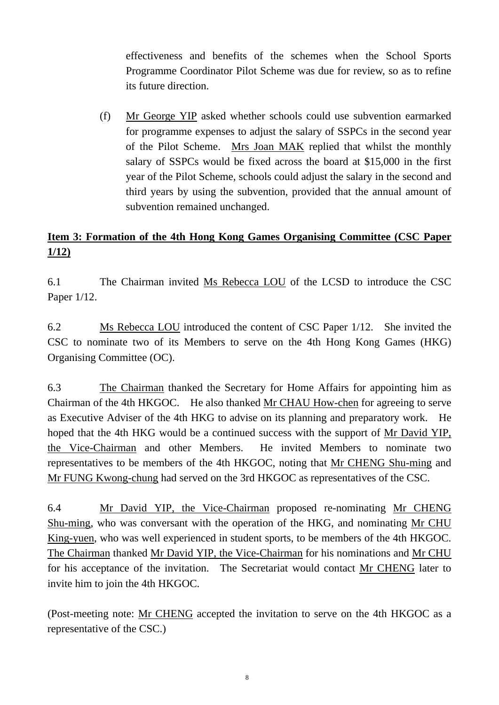effectiveness and benefits of the schemes when the School Sports Programme Coordinator Pilot Scheme was due for review, so as to refine its future direction.

(f) Mr George YIP asked whether schools could use subvention earmarked for programme expenses to adjust the salary of SSPCs in the second year of the Pilot Scheme. Mrs Joan MAK replied that whilst the monthly salary of SSPCs would be fixed across the board at \$15,000 in the first year of the Pilot Scheme, schools could adjust the salary in the second and third years by using the subvention, provided that the annual amount of subvention remained unchanged.

# **Item 3: Formation of the 4th Hong Kong Games Organising Committee (CSC Paper 1/12)**

6.1 The Chairman invited Ms Rebecca LOU of the LCSD to introduce the CSC Paper 1/12.

6.2 Ms Rebecca LOU introduced the content of CSC Paper 1/12. She invited the CSC to nominate two of its Members to serve on the 4th Hong Kong Games (HKG) Organising Committee (OC).

6.3 The Chairman thanked the Secretary for Home Affairs for appointing him as Chairman of the 4th HKGOC. He also thanked Mr CHAU How-chen for agreeing to serve as Executive Adviser of the 4th HKG to advise on its planning and preparatory work. He hoped that the 4th HKG would be a continued success with the support of Mr David YIP, the Vice-Chairman and other Members. He invited Members to nominate two representatives to be members of the 4th HKGOC, noting that Mr CHENG Shu-ming and Mr FUNG Kwong-chung had served on the 3rd HKGOC as representatives of the CSC.

6.4 Mr David YIP, the Vice-Chairman proposed re-nominating Mr CHENG Shu-ming, who was conversant with the operation of the HKG, and nominating Mr CHU King-yuen, who was well experienced in student sports, to be members of the 4th HKGOC. The Chairman thanked Mr David YIP, the Vice-Chairman for his nominations and Mr CHU for his acceptance of the invitation. The Secretariat would contact Mr CHENG later to invite him to join the 4th HKGOC.

(Post-meeting note: Mr CHENG accepted the invitation to serve on the 4th HKGOC as a representative of the CSC.)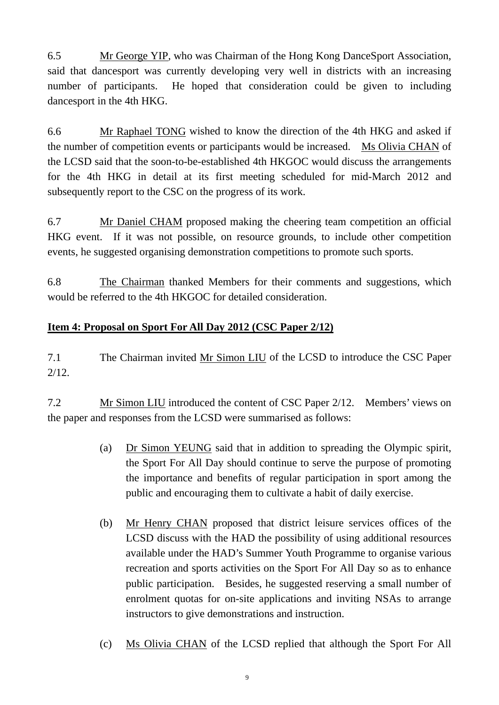6.5 Mr George YIP, who was Chairman of the Hong Kong DanceSport Association, said that dancesport was currently developing very well in districts with an increasing number of participants. He hoped that consideration could be given to including dancesport in the 4th HKG.

6.6 Mr Raphael TONG wished to know the direction of the 4th HKG and asked if the number of competition events or participants would be increased. Ms Olivia CHAN of the LCSD said that the soon-to-be-established 4th HKGOC would discuss the arrangements for the 4th HKG in detail at its first meeting scheduled for mid-March 2012 and subsequently report to the CSC on the progress of its work.

6.7 Mr Daniel CHAM proposed making the cheering team competition an official HKG event. If it was not possible, on resource grounds, to include other competition events, he suggested organising demonstration competitions to promote such sports.

6.8 The Chairman thanked Members for their comments and suggestions, which would be referred to the 4th HKGOC for detailed consideration.

## **Item 4: Proposal on Sport For All Day 2012 (CSC Paper 2/12)**

7.1 The Chairman invited Mr Simon LIU of the LCSD to introduce the CSC Paper  $2/12.$ 

7.2 Mr Simon LIU introduced the content of CSC Paper 2/12. Members' views on the paper and responses from the LCSD were summarised as follows:

- (a) Dr Simon YEUNG said that in addition to spreading the Olympic spirit, the Sport For All Day should continue to serve the purpose of promoting the importance and benefits of regular participation in sport among the public and encouraging them to cultivate a habit of daily exercise.
- (b) Mr Henry CHAN proposed that district leisure services offices of the LCSD discuss with the HAD the possibility of using additional resources available under the HAD's Summer Youth Programme to organise various recreation and sports activities on the Sport For All Day so as to enhance public participation. Besides, he suggested reserving a small number of enrolment quotas for on-site applications and inviting NSAs to arrange instructors to give demonstrations and instruction.
- (c) Ms Olivia CHAN of the LCSD replied that although the Sport For All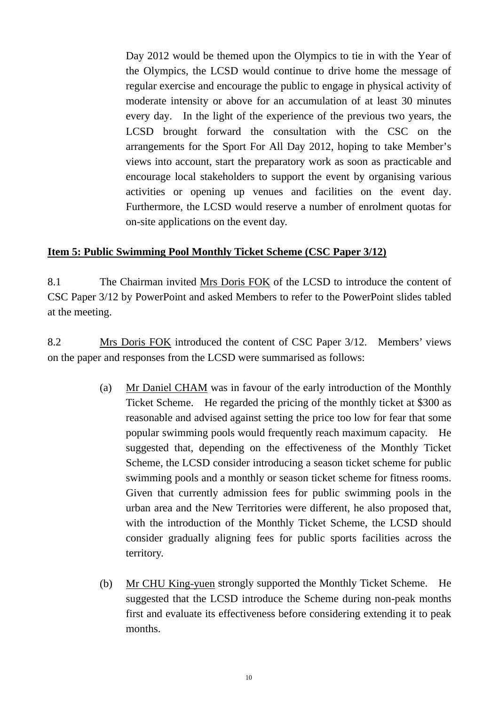Day 2012 would be themed upon the Olympics to tie in with the Year of the Olympics, the LCSD would continue to drive home the message of regular exercise and encourage the public to engage in physical activity of moderate intensity or above for an accumulation of at least 30 minutes every day. In the light of the experience of the previous two years, the LCSD brought forward the consultation with the CSC on the arrangements for the Sport For All Day 2012, hoping to take Member's views into account, start the preparatory work as soon as practicable and encourage local stakeholders to support the event by organising various activities or opening up venues and facilities on the event day. Furthermore, the LCSD would reserve a number of enrolment quotas for on-site applications on the event day.

### **Item 5: Public Swimming Pool Monthly Ticket Scheme (CSC Paper 3/12)**

8.1 The Chairman invited Mrs Doris FOK of the LCSD to introduce the content of CSC Paper 3/12 by PowerPoint and asked Members to refer to the PowerPoint slides tabled at the meeting.

8.2 Mrs Doris FOK introduced the content of CSC Paper 3/12. Members' views on the paper and responses from the LCSD were summarised as follows:

- (a) Mr Daniel CHAM was in favour of the early introduction of the Monthly Ticket Scheme. He regarded the pricing of the monthly ticket at \$300 as reasonable and advised against setting the price too low for fear that some popular swimming pools would frequently reach maximum capacity. He suggested that, depending on the effectiveness of the Monthly Ticket Scheme, the LCSD consider introducing a season ticket scheme for public swimming pools and a monthly or season ticket scheme for fitness rooms. Given that currently admission fees for public swimming pools in the urban area and the New Territories were different, he also proposed that, with the introduction of the Monthly Ticket Scheme, the LCSD should consider gradually aligning fees for public sports facilities across the territory.
- (b) Mr CHU King-yuen strongly supported the Monthly Ticket Scheme. He suggested that the LCSD introduce the Scheme during non-peak months first and evaluate its effectiveness before considering extending it to peak months.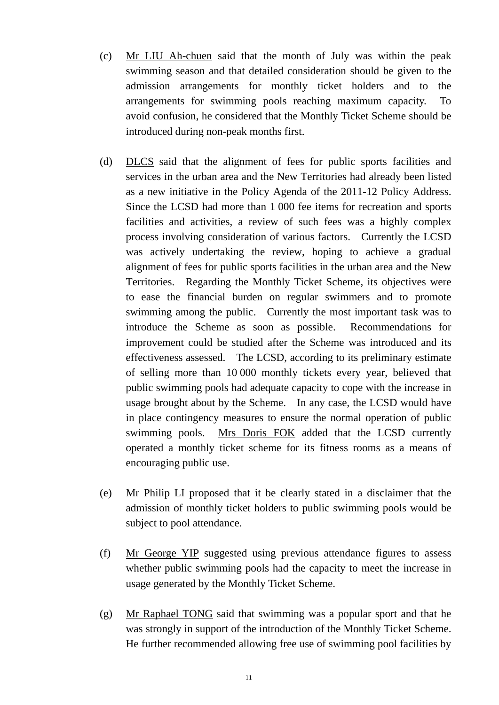- (c) Mr LIU Ah-chuen said that the month of July was within the peak swimming season and that detailed consideration should be given to the admission arrangements for monthly ticket holders and to the arrangements for swimming pools reaching maximum capacity. To avoid confusion, he considered that the Monthly Ticket Scheme should be introduced during non-peak months first.
- (d) DLCS said that the alignment of fees for public sports facilities and services in the urban area and the New Territories had already been listed as a new initiative in the Policy Agenda of the 2011-12 Policy Address. Since the LCSD had more than 1 000 fee items for recreation and sports facilities and activities, a review of such fees was a highly complex process involving consideration of various factors. Currently the LCSD was actively undertaking the review, hoping to achieve a gradual alignment of fees for public sports facilities in the urban area and the New Territories. Regarding the Monthly Ticket Scheme, its objectives were to ease the financial burden on regular swimmers and to promote swimming among the public. Currently the most important task was to introduce the Scheme as soon as possible. Recommendations for improvement could be studied after the Scheme was introduced and its effectiveness assessed. The LCSD, according to its preliminary estimate of selling more than 10 000 monthly tickets every year, believed that public swimming pools had adequate capacity to cope with the increase in usage brought about by the Scheme. In any case, the LCSD would have in place contingency measures to ensure the normal operation of public swimming pools. Mrs Doris FOK added that the LCSD currently operated a monthly ticket scheme for its fitness rooms as a means of encouraging public use.
- (e) Mr Philip LI proposed that it be clearly stated in a disclaimer that the admission of monthly ticket holders to public swimming pools would be subject to pool attendance.
- (f) Mr George YIP suggested using previous attendance figures to assess whether public swimming pools had the capacity to meet the increase in usage generated by the Monthly Ticket Scheme.
- (g) Mr Raphael TONG said that swimming was a popular sport and that he was strongly in support of the introduction of the Monthly Ticket Scheme. He further recommended allowing free use of swimming pool facilities by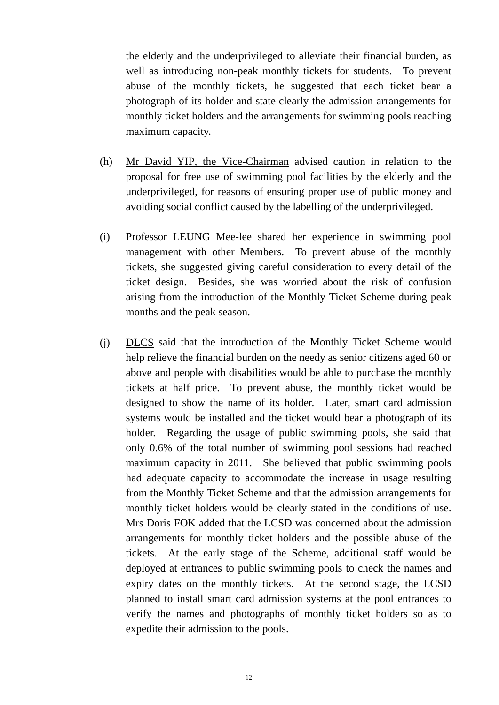the elderly and the underprivileged to alleviate their financial burden, as well as introducing non-peak monthly tickets for students. To prevent abuse of the monthly tickets, he suggested that each ticket bear a photograph of its holder and state clearly the admission arrangements for monthly ticket holders and the arrangements for swimming pools reaching maximum capacity.

- (h) Mr David YIP, the Vice-Chairman advised caution in relation to the proposal for free use of swimming pool facilities by the elderly and the underprivileged, for reasons of ensuring proper use of public money and avoiding social conflict caused by the labelling of the underprivileged.
- (i) Professor LEUNG Mee-lee shared her experience in swimming pool management with other Members. To prevent abuse of the monthly tickets, she suggested giving careful consideration to every detail of the ticket design. Besides, she was worried about the risk of confusion arising from the introduction of the Monthly Ticket Scheme during peak months and the peak season.
- (j) DLCS said that the introduction of the Monthly Ticket Scheme would help relieve the financial burden on the needy as senior citizens aged 60 or above and people with disabilities would be able to purchase the monthly tickets at half price. To prevent abuse, the monthly ticket would be designed to show the name of its holder. Later, smart card admission systems would be installed and the ticket would bear a photograph of its holder. Regarding the usage of public swimming pools, she said that only 0.6% of the total number of swimming pool sessions had reached maximum capacity in 2011. She believed that public swimming pools had adequate capacity to accommodate the increase in usage resulting from the Monthly Ticket Scheme and that the admission arrangements for monthly ticket holders would be clearly stated in the conditions of use. Mrs Doris FOK added that the LCSD was concerned about the admission arrangements for monthly ticket holders and the possible abuse of the tickets. At the early stage of the Scheme, additional staff would be deployed at entrances to public swimming pools to check the names and expiry dates on the monthly tickets. At the second stage, the LCSD planned to install smart card admission systems at the pool entrances to verify the names and photographs of monthly ticket holders so as to expedite their admission to the pools.